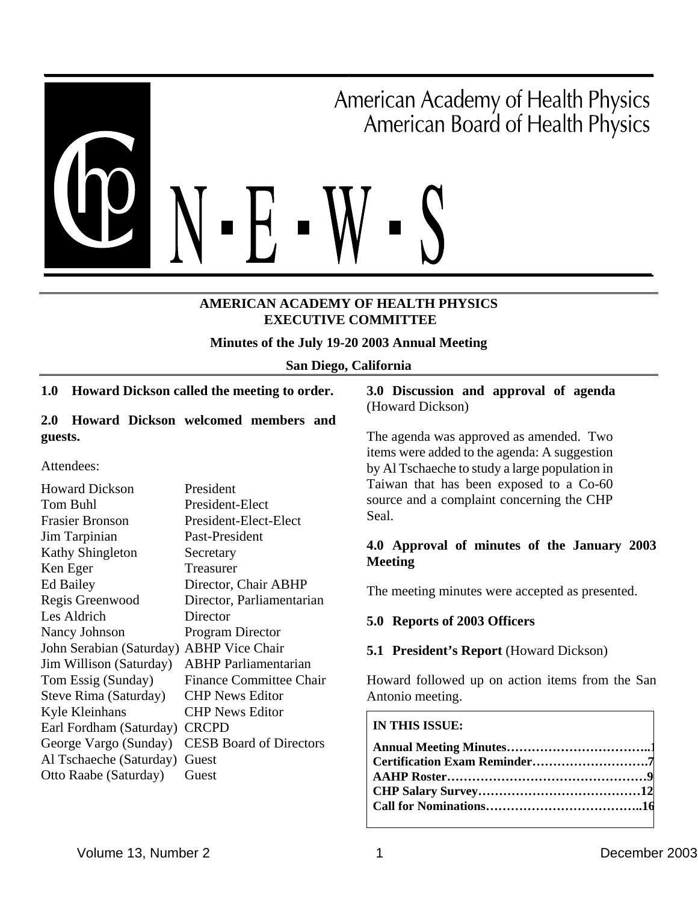

### **AMERICAN ACADEMY OF HEALTH PHYSICS EXECUTIVE COMMITTEE**

### **Minutes of the July 19-20 2003 Annual Meeting**

#### **San Diego, California**

### **1.0 Howard Dickson called the meeting to order.**

### **2.0 Howard Dickson welcomed members and guests.**

Attendees:

| <b>Howard Dickson</b>    | President                      |
|--------------------------|--------------------------------|
| Tom Buhl                 | President-Elect                |
| <b>Frasier Bronson</b>   | President-Elect-Elect          |
| Jim Tarpinian            | Past-President                 |
| <b>Kathy Shingleton</b>  | Secretary                      |
| Ken Eger                 | Treasurer                      |
| Ed Bailey                | Director, Chair ABHP           |
| Regis Greenwood          | Director, Parliamentarian      |
| Les Aldrich              | Director                       |
| Nancy Johnson            | <b>Program Director</b>        |
| John Serabian (Saturday) | <b>ABHP</b> Vice Chair         |
| Jim Willison (Saturday)  | <b>ABHP</b> Parliamentarian    |
| Tom Essig (Sunday)       | <b>Finance Committee Chair</b> |
| Steve Rima (Saturday)    | <b>CHP News Editor</b>         |
| Kyle Kleinhans           | <b>CHP</b> News Editor         |
| Earl Fordham (Saturday)  | <b>CRCPD</b>                   |
| George Vargo (Sunday)    | <b>CESB Board of Directors</b> |
| Al Tschaeche (Saturday)  | Guest                          |
| Otto Raabe (Saturday)    | Guest                          |

### **3.0 Discussion and approval of agenda**  (Howard Dickson)

The agenda was approved as amended. Two items were added to the agenda: A suggestion by Al Tschaeche to study a large population in Taiwan that has been exposed to a Co-60 source and a complaint concerning the CHP Seal.

### **4.0 Approval of minutes of the January 2003 Meeting**

The meeting minutes were accepted as presented.

### **5.0 Reports of 2003 Officers**

### **5.1 President's Report** (Howard Dickson)

Howard followed up on action items from the San Antonio meeting.

#### **IN THIS ISSUE:**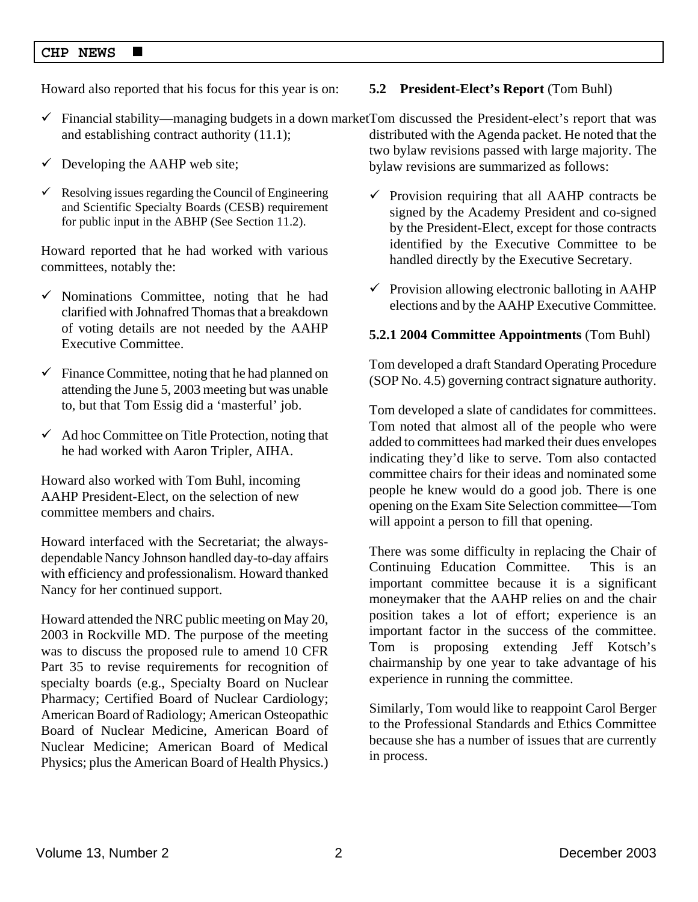Howard also reported that his focus for this year is on:

- $\checkmark$  Financial stability—managing budgets in a down market Tom discussed the President-elect's report that was and establishing contract authority (11.1); distributed with the Agenda packet. He noted that the
- $\checkmark$  Developing the AAHP web site;
- $\checkmark$  Resolving issues regarding the Council of Engineering and Scientific Specialty Boards (CESB) requirement for public input in the ABHP (See Section 11.2).

Howard reported that he had worked with various committees, notably the:

- $\checkmark$  Nominations Committee, noting that he had clarified with Johnafred Thomas that a breakdown of voting details are not needed by the AAHP Executive Committee.
- $\checkmark$  Finance Committee, noting that he had planned on attending the June 5, 2003 meeting but was unable to, but that Tom Essig did a 'masterful' job.
- $\checkmark$  Ad hoc Committee on Title Protection, noting that he had worked with Aaron Tripler, AIHA.

Howard also worked with Tom Buhl, incoming AAHP President-Elect, on the selection of new committee members and chairs.

Howard interfaced with the Secretariat; the alwaysdependable Nancy Johnson handled day-to-day affairs with efficiency and professionalism. Howard thanked Nancy for her continued support.

Howard attended the NRC public meeting on May 20, 2003 in Rockville MD. The purpose of the meeting was to discuss the proposed rule to amend 10 CFR Part 35 to revise requirements for recognition of specialty boards (e.g., Specialty Board on Nuclear Pharmacy; Certified Board of Nuclear Cardiology; American Board of Radiology; American Osteopathic Board of Nuclear Medicine, American Board of Nuclear Medicine; American Board of Medical Physics; plus the American Board of Health Physics.)

### **5.2 President-Elect's Report** (Tom Buhl)

two bylaw revisions passed with large majority. The bylaw revisions are summarized as follows:

- $\checkmark$  Provision requiring that all AAHP contracts be signed by the Academy President and co-signed by the President-Elect, except for those contracts identified by the Executive Committee to be handled directly by the Executive Secretary.
- $\checkmark$  Provision allowing electronic balloting in AAHP elections and by the AAHP Executive Committee.

### **5.2.1 2004 Committee Appointments** (Tom Buhl)

Tom developed a draft Standard Operating Procedure (SOP No. 4.5) governing contract signature authority.

Tom developed a slate of candidates for committees. Tom noted that almost all of the people who were added to committees had marked their dues envelopes indicating they'd like to serve. Tom also contacted committee chairs for their ideas and nominated some people he knew would do a good job. There is one opening on the Exam Site Selection committee—Tom will appoint a person to fill that opening.

There was some difficulty in replacing the Chair of Continuing Education Committee. This is an important committee because it is a significant moneymaker that the AAHP relies on and the chair position takes a lot of effort; experience is an important factor in the success of the committee. Tom is proposing extending Jeff Kotsch's chairmanship by one year to take advantage of his experience in running the committee.

Similarly, Tom would like to reappoint Carol Berger to the Professional Standards and Ethics Committee because she has a number of issues that are currently in process.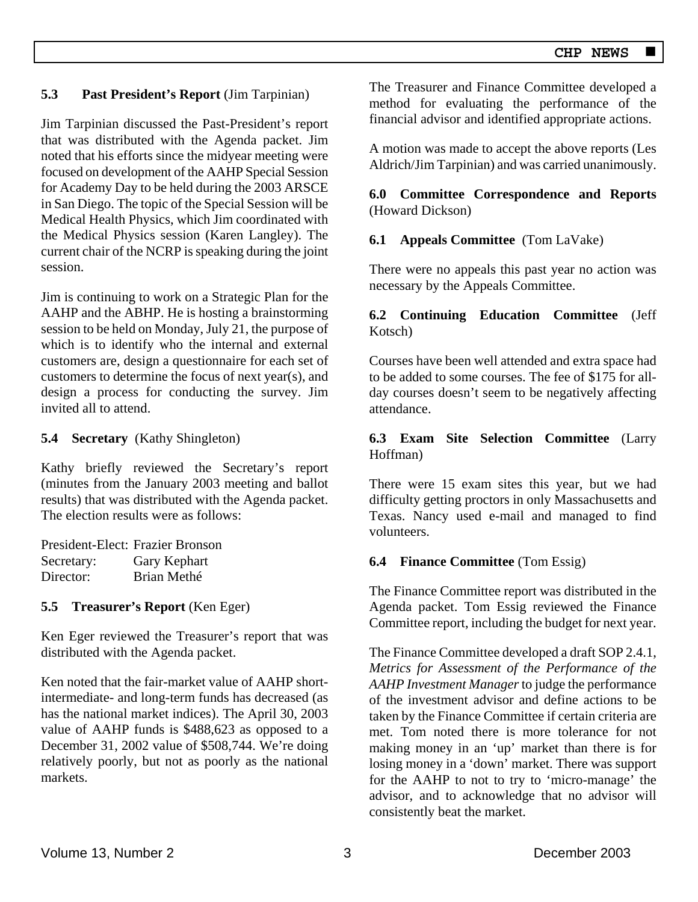### **5.3 Past President's Report** (Jim Tarpinian)

Jim Tarpinian discussed the Past-President's report that was distributed with the Agenda packet. Jim noted that his efforts since the midyear meeting were focused on development of the AAHP Special Session for Academy Day to be held during the 2003 ARSCE in San Diego. The topic of the Special Session will be Medical Health Physics, which Jim coordinated with the Medical Physics session (Karen Langley). The current chair of the NCRP is speaking during the joint session.

Jim is continuing to work on a Strategic Plan for the AAHP and the ABHP. He is hosting a brainstorming session to be held on Monday, July 21, the purpose of which is to identify who the internal and external customers are, design a questionnaire for each set of customers to determine the focus of next year(s), and design a process for conducting the survey. Jim invited all to attend.

**5.4 Secretary** (Kathy Shingleton)

Kathy briefly reviewed the Secretary's report (minutes from the January 2003 meeting and ballot results) that was distributed with the Agenda packet. The election results were as follows:

President-Elect: Frazier Bronson Secretary: Gary Kephart Director: Brian Methé

### **5.5 Treasurer's Report** (Ken Eger)

Ken Eger reviewed the Treasurer's report that was distributed with the Agenda packet.

Ken noted that the fair-market value of AAHP shortintermediate- and long-term funds has decreased (as has the national market indices). The April 30, 2003 value of AAHP funds is \$488,623 as opposed to a December 31, 2002 value of \$508,744. We're doing relatively poorly, but not as poorly as the national markets.

The Treasurer and Finance Committee developed a method for evaluating the performance of the financial advisor and identified appropriate actions.

A motion was made to accept the above reports (Les Aldrich/Jim Tarpinian) and was carried unanimously.

**6.0 Committee Correspondence and Reports**  (Howard Dickson)

### **6.1 Appeals Committee** (Tom LaVake)

There were no appeals this past year no action was necessary by the Appeals Committee.

### **6.2 Continuing Education Committee** (Jeff Kotsch)

Courses have been well attended and extra space had to be added to some courses. The fee of \$175 for allday courses doesn't seem to be negatively affecting attendance.

### **6.3 Exam Site Selection Committee** (Larry Hoffman)

There were 15 exam sites this year, but we had difficulty getting proctors in only Massachusetts and Texas. Nancy used e-mail and managed to find volunteers.

### **6.4 Finance Committee** (Tom Essig)

The Finance Committee report was distributed in the Agenda packet. Tom Essig reviewed the Finance Committee report, including the budget for next year.

The Finance Committee developed a draft SOP 2.4.1, *Metrics for Assessment of the Performance of the AAHP Investment Manager* to judge the performance of the investment advisor and define actions to be taken by the Finance Committee if certain criteria are met. Tom noted there is more tolerance for not making money in an 'up' market than there is for losing money in a 'down' market. There was support for the AAHP to not to try to 'micro-manage' the advisor, and to acknowledge that no advisor will consistently beat the market.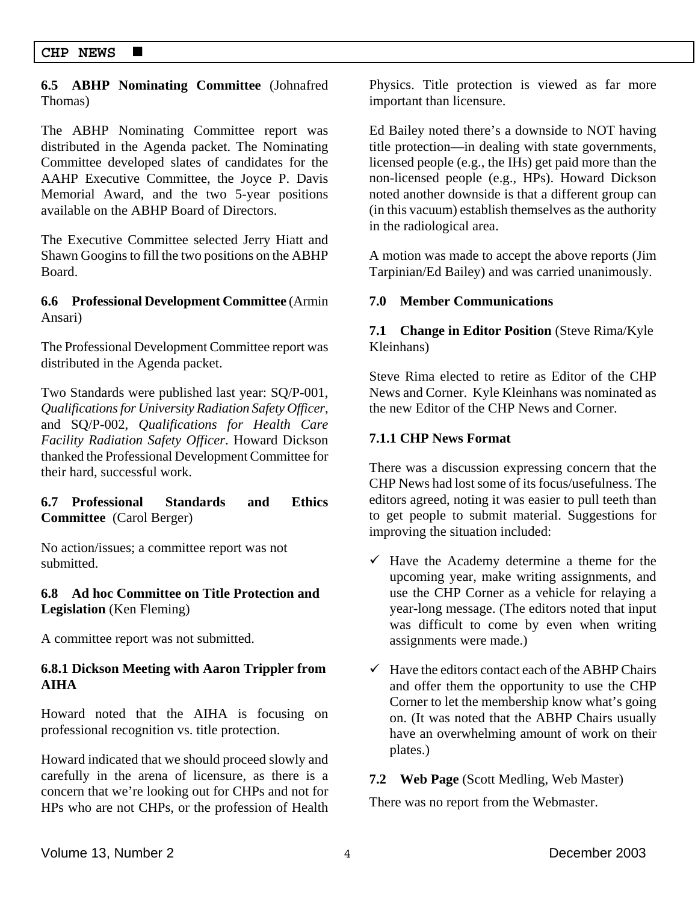### **6.5 ABHP Nominating Committee** (Johnafred Thomas)

The ABHP Nominating Committee report was distributed in the Agenda packet. The Nominating Committee developed slates of candidates for the AAHP Executive Committee, the Joyce P. Davis Memorial Award, and the two 5-year positions available on the ABHP Board of Directors.

The Executive Committee selected Jerry Hiatt and Shawn Googins to fill the two positions on the ABHP Board.

### **6.6 Professional Development Committee** (Armin Ansari)

The Professional Development Committee report was distributed in the Agenda packet.

Two Standards were published last year: SQ/P-001, *Qualifications for University Radiation Safety Officer*, and SQ/P-002, *Qualifications for Health Care Facility Radiation Safety Officer*. Howard Dickson thanked the Professional Development Committee for their hard, successful work.

### **6.7 Professional Standards and Ethics Committee** (Carol Berger)

No action/issues; a committee report was not submitted.

### **6.8 Ad hoc Committee on Title Protection and Legislation** (Ken Fleming)

A committee report was not submitted.

### **6.8.1 Dickson Meeting with Aaron Trippler from AIHA**

Howard noted that the AIHA is focusing on professional recognition vs. title protection.

Howard indicated that we should proceed slowly and carefully in the arena of licensure, as there is a concern that we're looking out for CHPs and not for HPs who are not CHPs, or the profession of Health Physics. Title protection is viewed as far more important than licensure.

Ed Bailey noted there's a downside to NOT having title protection—in dealing with state governments, licensed people (e.g., the IHs) get paid more than the non-licensed people (e.g., HPs). Howard Dickson noted another downside is that a different group can (in this vacuum) establish themselves as the authority in the radiological area.

A motion was made to accept the above reports (Jim Tarpinian/Ed Bailey) and was carried unanimously.

### **7.0 Member Communications**

**7.1 Change in Editor Position** (Steve Rima/Kyle Kleinhans)

Steve Rima elected to retire as Editor of the CHP News and Corner. Kyle Kleinhans was nominated as the new Editor of the CHP News and Corner.

### **7.1.1 CHP News Format**

There was a discussion expressing concern that the CHP News had lost some of its focus/usefulness. The editors agreed, noting it was easier to pull teeth than to get people to submit material. Suggestions for improving the situation included:

- $\checkmark$  Have the Academy determine a theme for the upcoming year, make writing assignments, and use the CHP Corner as a vehicle for relaying a year-long message. (The editors noted that input was difficult to come by even when writing assignments were made.)
- $\checkmark$  Have the editors contact each of the ABHP Chairs and offer them the opportunity to use the CHP Corner to let the membership know what's going on. (It was noted that the ABHP Chairs usually have an overwhelming amount of work on their plates.)

### **7.2 Web Page** (Scott Medling, Web Master)

There was no report from the Webmaster.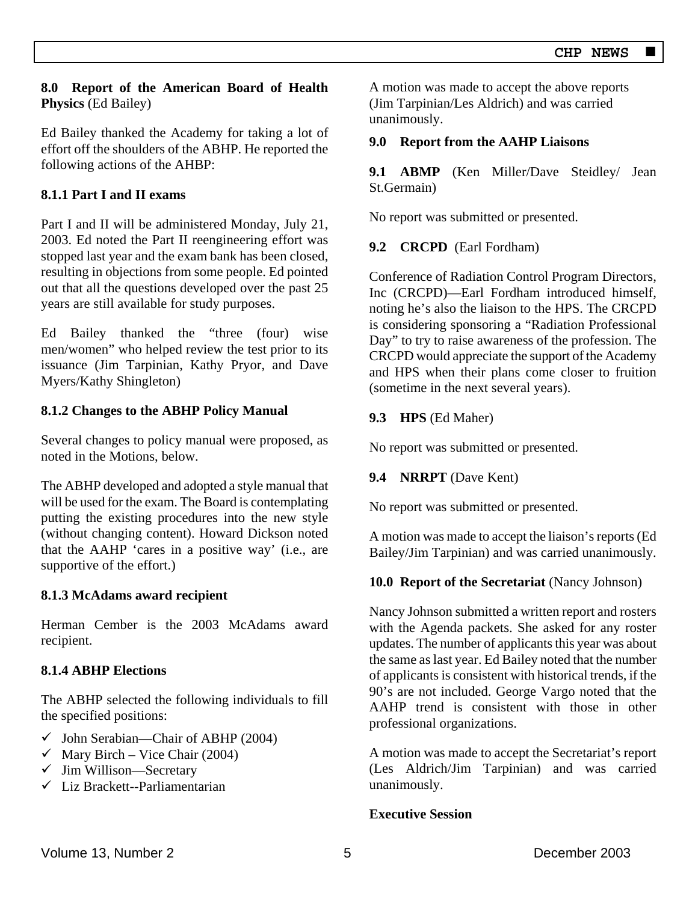### **8.0 Report of the American Board of Health Physics** (Ed Bailey)

Ed Bailey thanked the Academy for taking a lot of effort off the shoulders of the ABHP. He reported the following actions of the AHBP:

## **8.1.1 Part I and II exams**

Part I and II will be administered Monday, July 21, 2003. Ed noted the Part II reengineering effort was stopped last year and the exam bank has been closed, resulting in objections from some people. Ed pointed out that all the questions developed over the past 25 years are still available for study purposes.

Ed Bailey thanked the "three (four) wise men/women" who helped review the test prior to its issuance (Jim Tarpinian, Kathy Pryor, and Dave Myers/Kathy Shingleton)

### **8.1.2 Changes to the ABHP Policy Manual**

Several changes to policy manual were proposed, as noted in the Motions, below.

The ABHP developed and adopted a style manual that will be used for the exam. The Board is contemplating putting the existing procedures into the new style (without changing content). Howard Dickson noted that the AAHP 'cares in a positive way' (i.e., are supportive of the effort.)

### **8.1.3 McAdams award recipient**

Herman Cember is the 2003 McAdams award recipient.

### **8.1.4 ABHP Elections**

The ABHP selected the following individuals to fill the specified positions:

- $\checkmark$  John Serabian—Chair of ABHP (2004)
- $\checkmark$  Mary Birch Vice Chair (2004)
- $\checkmark$  Jim Willison—Secretary
- $\checkmark$  Liz Brackett--Parliamentarian

A motion was made to accept the above reports (Jim Tarpinian/Les Aldrich) and was carried unanimously.

### **9.0 Report from the AAHP Liaisons**

**9.1 ABMP** (Ken Miller/Dave Steidley/ Jean St.Germain)

No report was submitted or presented.

### **9.2 CRCPD** (Earl Fordham)

Conference of Radiation Control Program Directors, Inc (CRCPD)—Earl Fordham introduced himself, noting he's also the liaison to the HPS. The CRCPD is considering sponsoring a "Radiation Professional Day" to try to raise awareness of the profession. The CRCPD would appreciate the support of the Academy and HPS when their plans come closer to fruition (sometime in the next several years).

### **9.3 HPS** (Ed Maher)

No report was submitted or presented.

### **9.4 NRRPT** (Dave Kent)

No report was submitted or presented.

A motion was made to accept the liaison's reports (Ed Bailey/Jim Tarpinian) and was carried unanimously.

### **10.0 Report of the Secretariat** (Nancy Johnson)

Nancy Johnson submitted a written report and rosters with the Agenda packets. She asked for any roster updates. The number of applicants this year was about the same as last year. Ed Bailey noted that the number of applicants is consistent with historical trends, if the 90's are not included. George Vargo noted that the AAHP trend is consistent with those in other professional organizations.

A motion was made to accept the Secretariat's report (Les Aldrich/Jim Tarpinian) and was carried unanimously.

### **Executive Session**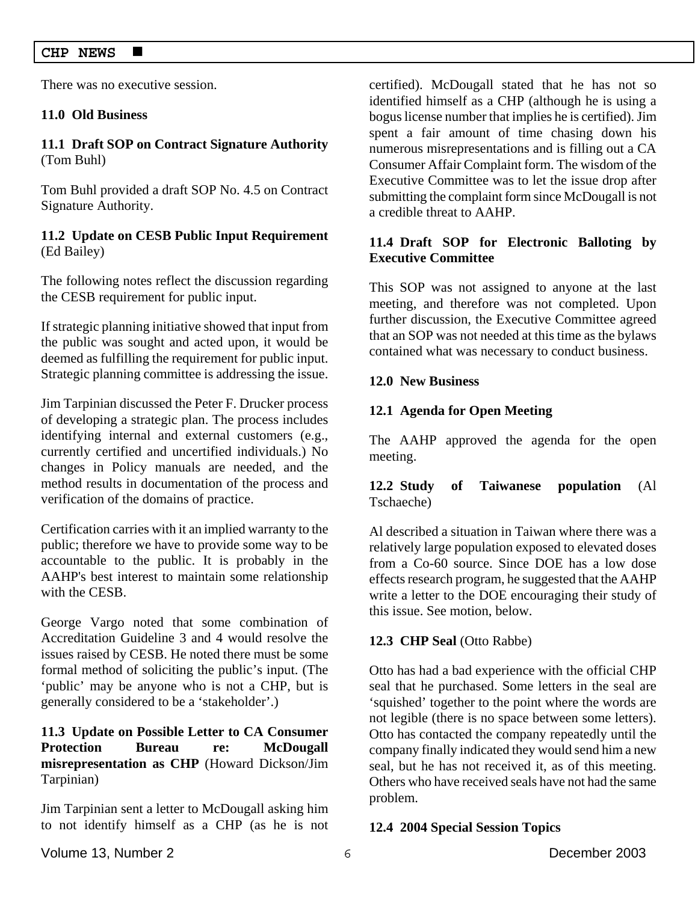There was no executive session.

### **11.0 Old Business**

### **11.1 Draft SOP on Contract Signature Authority**  (Tom Buhl)

Tom Buhl provided a draft SOP No. 4.5 on Contract Signature Authority.

### **11.2 Update on CESB Public Input Requirement**  (Ed Bailey)

The following notes reflect the discussion regarding the CESB requirement for public input.

If strategic planning initiative showed that input from the public was sought and acted upon, it would be deemed as fulfilling the requirement for public input. Strategic planning committee is addressing the issue.

Jim Tarpinian discussed the Peter F. Drucker process of developing a strategic plan. The process includes identifying internal and external customers (e.g., currently certified and uncertified individuals.) No changes in Policy manuals are needed, and the method results in documentation of the process and verification of the domains of practice.

Certification carries with it an implied warranty to the public; therefore we have to provide some way to be accountable to the public. It is probably in the AAHP's best interest to maintain some relationship with the CESB.

George Vargo noted that some combination of Accreditation Guideline 3 and 4 would resolve the issues raised by CESB. He noted there must be some formal method of soliciting the public's input. (The 'public' may be anyone who is not a CHP, but is generally considered to be a 'stakeholder'.)

### **11.3 Update on Possible Letter to CA Consumer Protection Bureau re: McDougall misrepresentation as CHP** (Howard Dickson/Jim Tarpinian)

Jim Tarpinian sent a letter to McDougall asking him to not identify himself as a CHP (as he is not

certified). McDougall stated that he has not so identified himself as a CHP (although he is using a bogus license number that implies he is certified). Jim spent a fair amount of time chasing down his numerous misrepresentations and is filling out a CA Consumer Affair Complaint form. The wisdom of the Executive Committee was to let the issue drop after submitting the complaint form since McDougall is not a credible threat to AAHP.

### **11.4 Draft SOP for Electronic Balloting by Executive Committee**

This SOP was not assigned to anyone at the last meeting, and therefore was not completed. Upon further discussion, the Executive Committee agreed that an SOP was not needed at this time as the bylaws contained what was necessary to conduct business.

### **12.0 New Business**

### **12.1 Agenda for Open Meeting**

The AAHP approved the agenda for the open meeting.

**12.2 Study of Taiwanese population** (Al Tschaeche)

Al described a situation in Taiwan where there was a relatively large population exposed to elevated doses from a Co-60 source. Since DOE has a low dose effects research program, he suggested that the AAHP write a letter to the DOE encouraging their study of this issue. See motion, below.

### **12.3 CHP Seal** (Otto Rabbe)

Otto has had a bad experience with the official CHP seal that he purchased. Some letters in the seal are 'squished' together to the point where the words are not legible (there is no space between some letters). Otto has contacted the company repeatedly until the company finally indicated they would send him a new seal, but he has not received it, as of this meeting. Others who have received seals have not had the same problem.

### **12.4 2004 Special Session Topics**

Volume 13, Number 2 and the contract of the contract of the contract of the December 2003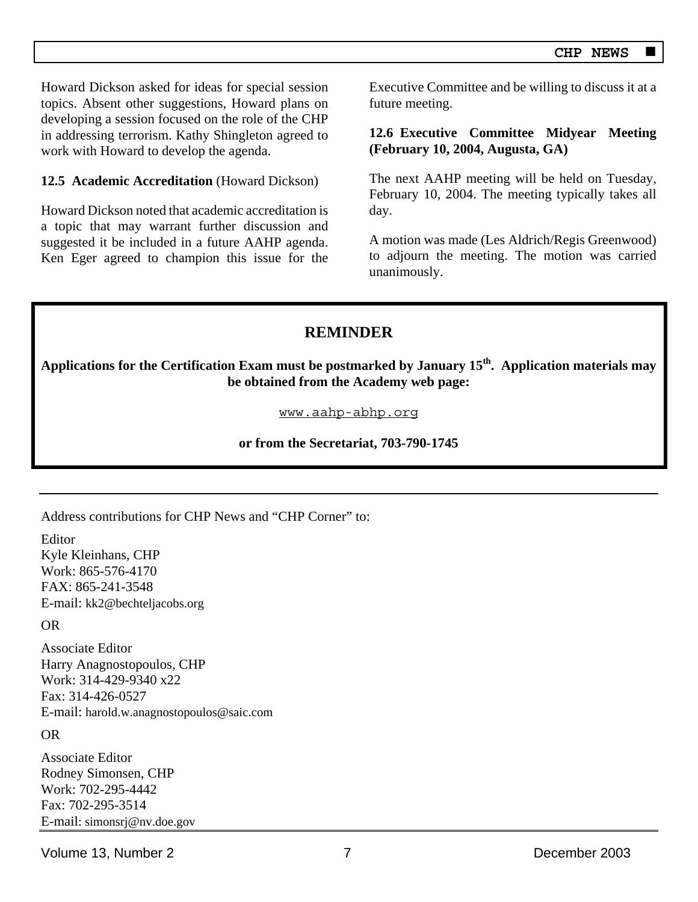Howard Dickson asked for ideas for special session topics. Absent other suggestions, Howard plans on developing a session focused on the role of the CHP in addressing terrorism. Kathy Shingleton agreed to work with Howard to develop the agenda.

### **12.5 Academic Accreditation** (Howard Dickson)

Howard Dickson noted that academic accreditation is a topic that may warrant further discussion and suggested it be included in a future AAHP agenda. Ken Eger agreed to champion this issue for the Executive Committee and be willing to discuss it at a future meeting.

### **12.6 Executive Committee Midyear Meeting (February 10, 2004, Augusta, GA)**

The next AAHP meeting will be held on Tuesday, February 10, 2004. The meeting typically takes all day.

A motion was made (Les Aldrich/Regis Greenwood) to adjourn the meeting. The motion was carried unanimously.

# **REMINDER**

**Applications for the Certification Exam must be postmarked by January 15th. Application materials may be obtained from the Academy web page:** 

www.aahp-abhp.org

**or from the Secretariat, 703-790-1745** 

Address contributions for CHP News and "CHP Corner" to:

Editor Kyle Kleinhans, CHP Work: 865-576-4170 FAX: 865-241-3548 E-mail: kk2@bechteljacobs.org

OR

Associate Editor Harry Anagnostopoulos, CHP Work: 314-429-9340 x22 Fax: 314-426-0527 E-mail: harold.w.anagnostopoulos@saic.com

OR

Associate Editor Rodney Simonsen, CHP Work: 702-295-4442 Fax: 702-295-3514 E-mail: simonsrj@nv.doe.gov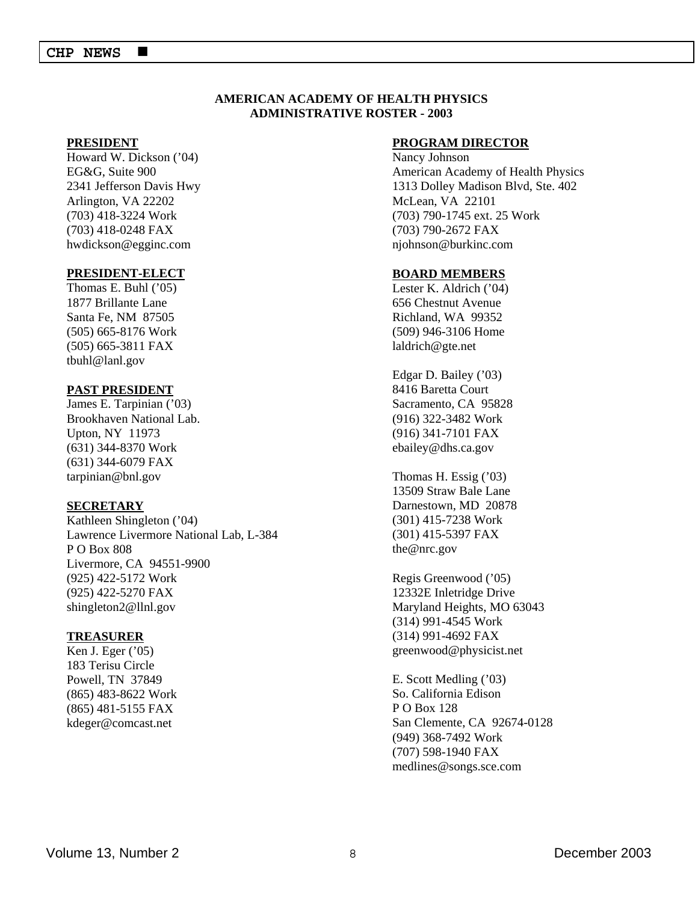#### **AMERICAN ACADEMY OF HEALTH PHYSICS ADMINISTRATIVE ROSTER - 2003**

#### **PRESIDENT**

Howard W. Dickson ('04) EG&G, Suite 900 2341 Jefferson Davis Hwy Arlington, VA 22202 (703) 418-3224 Work (703) 418-0248 FAX hwdickson@egginc.com

#### **PRESIDENT-ELECT**

Thomas E. Buhl ('05) 1877 Brillante Lane Santa Fe, NM 87505 (505) 665-8176 Work (505) 665-3811 FAX tbuhl@lanl.gov

#### **PAST PRESIDENT**

James E. Tarpinian ('03) Brookhaven National Lab. Upton, NY 11973 (631) 344-8370 Work (631) 344-6079 FAX tarpinian@bnl.gov

#### **SECRETARY**

Kathleen Shingleton ('04) Lawrence Livermore National Lab, L-384 P O Box 808 Livermore, CA 94551-9900 (925) 422-5172 Work (925) 422-5270 FAX shingleton2@llnl.gov

#### **TREASURER**

Ken J. Eger ('05) 183 Terisu Circle Powell, TN 37849 (865) 483-8622 Work (865) 481-5155 FAX kdeger@comcast.net

#### **PROGRAM DIRECTOR**

Nancy Johnson American Academy of Health Physics 1313 Dolley Madison Blvd, Ste. 402 McLean, VA 22101 (703) 790-1745 ext. 25 Work (703) 790-2672 FAX njohnson@burkinc.com

#### **BOARD MEMBERS**

Lester K. Aldrich ('04) 656 Chestnut Avenue Richland, WA 99352 (509) 946-3106 Home laldrich@gte.net

Edgar D. Bailey ('03) 8416 Baretta Court Sacramento, CA 95828 (916) 322-3482 Work (916) 341-7101 FAX ebailey@dhs.ca.gov

Thomas H. Essig ('03) 13509 Straw Bale Lane Darnestown, MD 20878 (301) 415-7238 Work (301) 415-5397 FAX the@nrc.gov

Regis Greenwood ('05) 12332E Inletridge Drive Maryland Heights, MO 63043 (314) 991-4545 Work (314) 991-4692 FAX greenwood@physicist.net

E. Scott Medling ('03) So. California Edison P O Box 128 San Clemente, CA 92674-0128 (949) 368-7492 Work (707) 598-1940 FAX medlines@songs.sce.com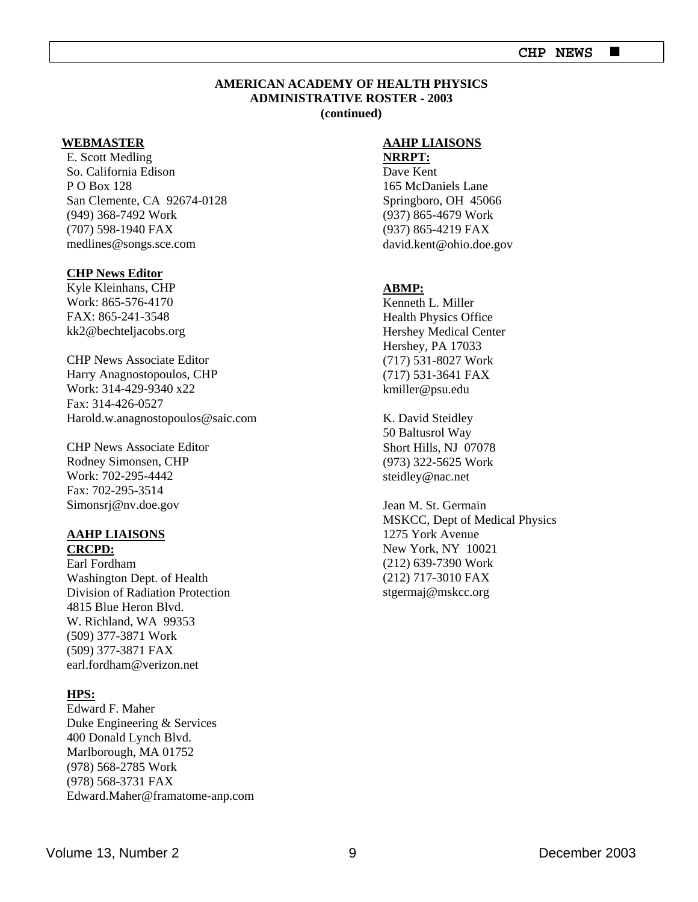### **EXECUTE 2018** CHP NEWS ■

#### **AMERICAN ACADEMY OF HEALTH PHYSICS ADMINISTRATIVE ROSTER - 2003 (continued)**

#### **WEBMASTER**

E. Scott Medling So. California Edison P O Box 128 San Clemente, CA 92674-0128 (949) 368-7492 Work (707) 598-1940 FAX medlines@songs.sce.com

#### **CHP News Editor**

Kyle Kleinhans, CHP Work: 865-576-4170 FAX: 865-241-3548 kk2@bechteljacobs.org

CHP News Associate Editor Harry Anagnostopoulos, CHP Work: 314-429-9340 x22 Fax: 314-426-0527 Harold.w.anagnostopoulos@saic.com

CHP News Associate Editor Rodney Simonsen, CHP Work: 702-295-4442 Fax: 702-295-3514 Simonsrj@nv.doe.gov

#### **AAHP LIAISONS CRCPD:**

Earl Fordham Washington Dept. of Health Division of Radiation Protection 4815 Blue Heron Blvd. W. Richland, WA 99353 (509) 377-3871 Work (509) 377-3871 FAX earl.fordham@verizon.net

#### **HPS:**

Edward F. Maher Duke Engineering & Services 400 Donald Lynch Blvd. Marlborough, MA 01752 (978) 568-2785 Work (978) 568-3731 FAX Edward.Maher@framatome-anp.com

#### **AAHP LIAISONS**

#### **NRRPT:**

Dave Kent 165 McDaniels Lane Springboro, OH 45066 (937) 865-4679 Work (937) 865-4219 FAX david.kent@ohio.doe.gov

#### **ABMP:**

Kenneth L. Miller Health Physics Office Hershey Medical Center Hershey, PA 17033 (717) 531-8027 Work (717) 531-3641 FAX kmiller@psu.edu

K. David Steidley 50 Baltusrol Way Short Hills, NJ 07078 (973) 322-5625 Work steidley@nac.net

Jean M. St. Germain MSKCC, Dept of Medical Physics 1275 York Avenue New York, NY 10021 (212) 639-7390 Work (212) 717-3010 FAX stgermaj@mskcc.org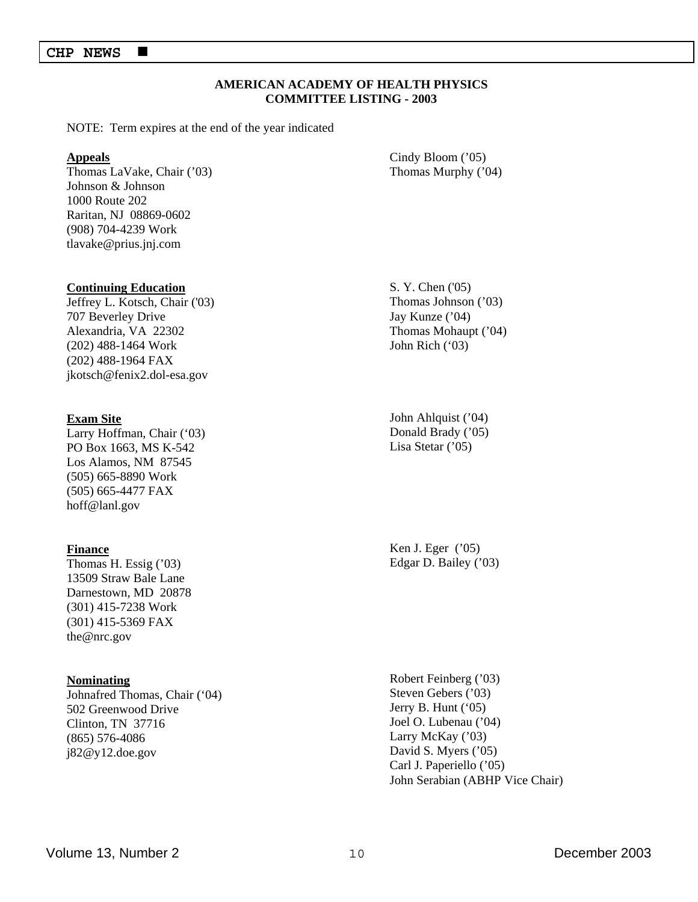#### **AMERICAN ACADEMY OF HEALTH PHYSICS COMMITTEE LISTING - 2003**

NOTE: Term expires at the end of the year indicated

#### **Appeals**

Thomas LaVake, Chair ('03) Johnson & Johnson 1000 Route 202 Raritan, NJ 08869-0602 (908) 704-4239 Work tlavake@prius.jnj.com

Cindy Bloom ('05) Thomas Murphy ('04)

#### **Continuing Education**

Jeffrey L. Kotsch, Chair ('03) 707 Beverley Drive Alexandria, VA 22302 (202) 488-1464 Work (202) 488-1964 FAX jkotsch@fenix2.dol-esa.gov

#### **Exam Site**

Larry Hoffman, Chair ('03) PO Box 1663, MS K-542 Los Alamos, NM 87545 (505) 665-8890 Work (505) 665-4477 FAX hoff@lanl.gov

#### **Finance**

Thomas H. Essig ('03) 13509 Straw Bale Lane Darnestown, MD 20878 (301) 415-7238 Work (301) 415-5369 FAX the@nrc.gov

#### **Nominating**

Johnafred Thomas, Chair ('04) 502 Greenwood Drive Clinton, TN 37716 (865) 576-4086 j82@y12.doe.gov

S. Y. Chen ('05) Thomas Johnson ('03) Jay Kunze ('04) Thomas Mohaupt ('04) John Rich ('03)

John Ahlquist ('04) Donald Brady ('05) Lisa Stetar ('05)

Ken J. Eger ('05) Edgar D. Bailey ('03)

Robert Feinberg ('03) Steven Gebers ('03) Jerry B. Hunt ('05) Joel O. Lubenau ('04) Larry McKay ('03) David S. Myers ('05) Carl J. Paperiello ('05) John Serabian (ABHP Vice Chair)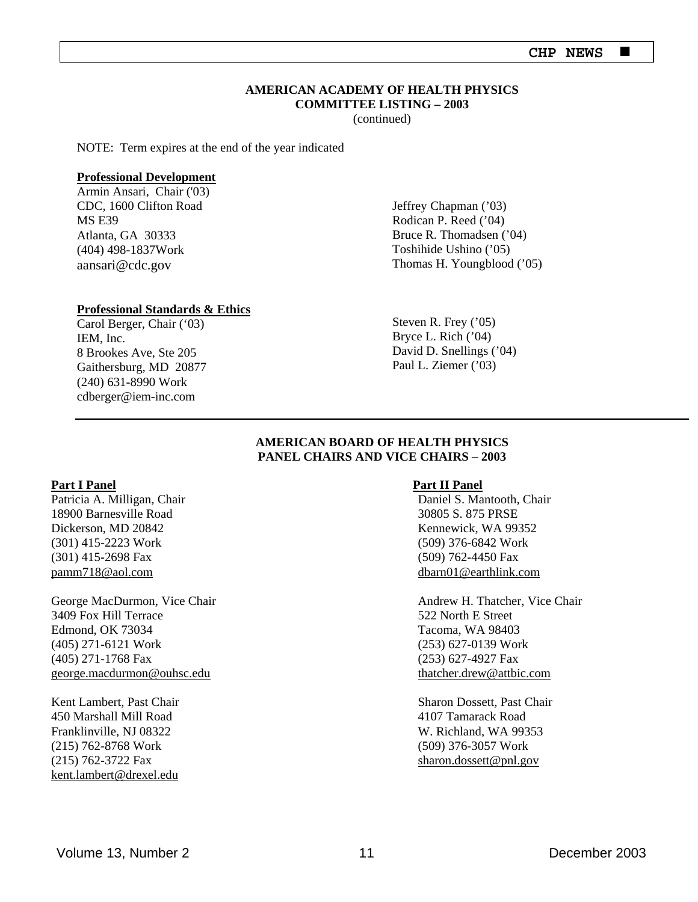#### **AMERICAN ACADEMY OF HEALTH PHYSICS COMMITTEE LISTING – 2003**

(continued)

NOTE: Term expires at the end of the year indicated

#### **Professional Development**

Armin Ansari, Chair ('03) CDC, 1600 Clifton Road MS E39 Atlanta, GA 30333 (404) 498-1837Work aansari@cdc.gov

#### **Professional Standards & Ethics**

Carol Berger, Chair ('03) IEM, Inc. 8 Brookes Ave, Ste 205 Gaithersburg, MD 20877 (240) 631-8990 Work cdberger@iem-inc.com

Jeffrey Chapman ('03) Rodican P. Reed ('04) Bruce R. Thomadsen ('04) Toshihide Ushino ('05) Thomas H. Youngblood ('05)

Steven R. Frey ('05) Bryce L. Rich ('04) David D. Snellings ('04) Paul L. Ziemer ('03)

### **AMERICAN BOARD OF HEALTH PHYSICS PANEL CHAIRS AND VICE CHAIRS – 2003**

#### **Part I Panel**

Patricia A. Milligan, Chair 18900 Barnesville Road Dickerson, MD 20842 (301) 415-2223 Work (301) 415-2698 Fax pamm718@aol.com

George MacDurmon, Vice Chair 3409 Fox Hill Terrace Edmond, OK 73034 (405) 271-6121 Work (405) 271-1768 Fax george.macdurmon@ouhsc.edu

Kent Lambert, Past Chair 450 Marshall Mill Road Franklinville, NJ 08322 (215) 762-8768 Work (215) 762-3722 Fax kent.lambert@drexel.edu

#### **Part II Panel**

Daniel S. Mantooth, Chair 30805 S. 875 PRSE Kennewick, WA 99352 (509) 376-6842 Work (509) 762-4450 Fax dbarn01@earthlink.com

Andrew H. Thatcher, Vice Chair 522 North E Street Tacoma, WA 98403 (253) 627-0139 Work (253) 627-4927 Fax thatcher.drew@attbic.com

Sharon Dossett, Past Chair 4107 Tamarack Road W. Richland, WA 99353 (509) 376-3057 Work sharon.dossett@pnl.gov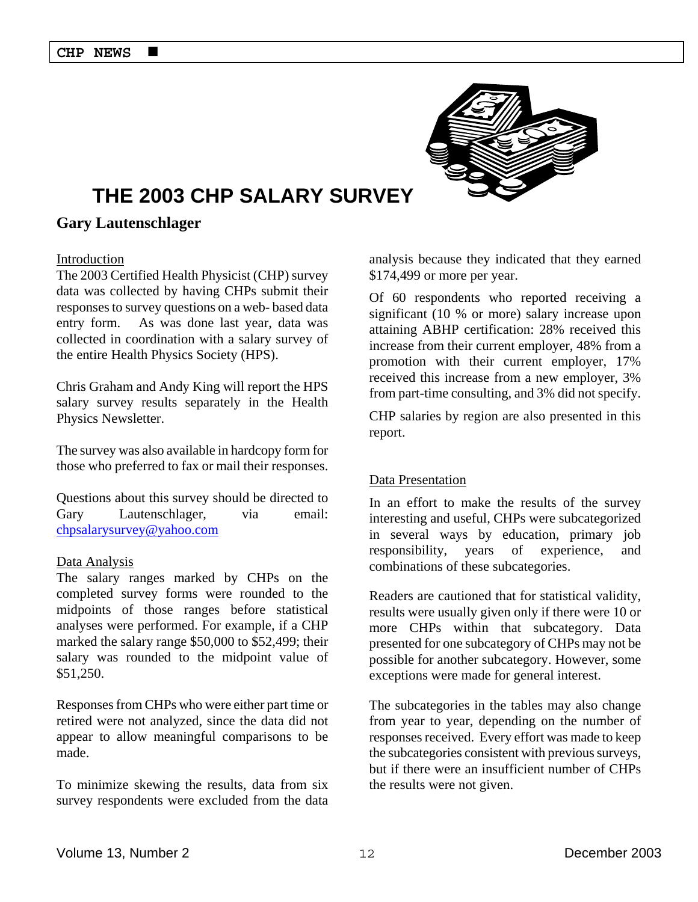

# **THE 2003 CHP SALARY SURVEY**

### **Gary Lautenschlager**

### Introduction

The 2003 Certified Health Physicist (CHP) survey data was collected by having CHPs submit their responses to survey questions on a web- based data entry form. As was done last year, data was collected in coordination with a salary survey of the entire Health Physics Society (HPS).

Chris Graham and Andy King will report the HPS salary survey results separately in the Health Physics Newsletter.

The survey was also available in hardcopy form for those who preferred to fax or mail their responses.

Questions about this survey should be directed to Gary Lautenschlager, via email: chpsalarysurvey@yahoo.com

#### Data Analysis

The salary ranges marked by CHPs on the completed survey forms were rounded to the midpoints of those ranges before statistical analyses were performed. For example, if a CHP marked the salary range \$50,000 to \$52,499; their salary was rounded to the midpoint value of \$51,250.

Responses from CHPs who were either part time or retired were not analyzed, since the data did not appear to allow meaningful comparisons to be made.

To minimize skewing the results, data from six survey respondents were excluded from the data analysis because they indicated that they earned \$174,499 or more per year.

Of 60 respondents who reported receiving a significant (10 % or more) salary increase upon attaining ABHP certification: 28% received this increase from their current employer, 48% from a promotion with their current employer, 17% received this increase from a new employer, 3% from part-time consulting, and 3% did not specify.

CHP salaries by region are also presented in this report.

#### Data Presentation

In an effort to make the results of the survey interesting and useful, CHPs were subcategorized in several ways by education, primary job responsibility, years of experience, and combinations of these subcategories.

Readers are cautioned that for statistical validity, results were usually given only if there were 10 or more CHPs within that subcategory. Data presented for one subcategory of CHPs may not be possible for another subcategory. However, some exceptions were made for general interest.

The subcategories in the tables may also change from year to year, depending on the number of responses received. Every effort was made to keep the subcategories consistent with previous surveys, but if there were an insufficient number of CHPs the results were not given.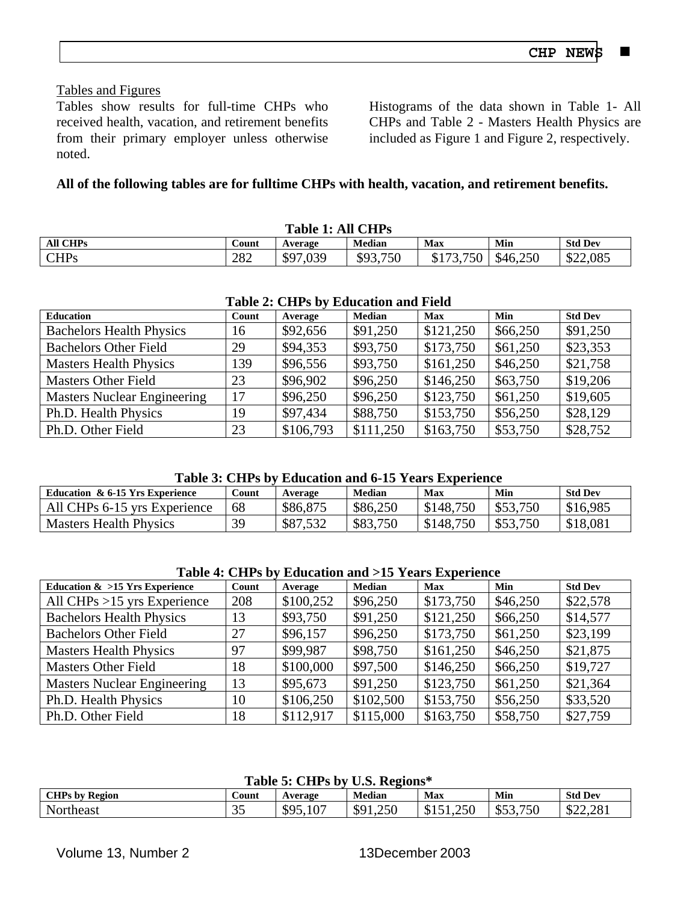### Tables and Figures

Tables show results for full-time CHPs who received health, vacation, and retirement benefits from their primary employer unless otherwise noted.

Histograms of the data shown in Table 1- All CHPs and Table 2 - Masters Health Physics are included as Figure 1 and Figure 2, respectively.

# **All of the following tables are for fulltime CHPs with health, vacation, and retirement benefits.**

| <b>Table 1: All CHPs</b> |       |          |               |           |          |                |  |  |
|--------------------------|-------|----------|---------------|-----------|----------|----------------|--|--|
| <b>All CHPs</b>          | Count | Average  | <b>Median</b> | Max       | Min      | <b>Std Dev</b> |  |  |
| <b>CHPs</b>              | 282   | \$97,039 | \$93,750      | \$173,750 | \$46,250 | \$22,085       |  |  |

| <b>Table 2: CHPS by Equeation and Field</b> |       |           |               |            |          |                |  |  |  |
|---------------------------------------------|-------|-----------|---------------|------------|----------|----------------|--|--|--|
| Education                                   | Count | Average   | <b>Median</b> | <b>Max</b> | Min      | <b>Std Dev</b> |  |  |  |
| <b>Bachelors Health Physics</b>             | 16    | \$92,656  | \$91,250      | \$121,250  | \$66,250 | \$91,250       |  |  |  |
| <b>Bachelors Other Field</b>                | 29    | \$94,353  | \$93,750      | \$173,750  | \$61,250 | \$23,353       |  |  |  |
| <b>Masters Health Physics</b>               | 139   | \$96,556  | \$93,750      | \$161,250  | \$46,250 | \$21,758       |  |  |  |
| <b>Masters Other Field</b>                  | 23    | \$96,902  | \$96,250      | \$146,250  | \$63,750 | \$19,206       |  |  |  |
| <b>Masters Nuclear Engineering</b>          | 17    | \$96,250  | \$96,250      | \$123,750  | \$61,250 | \$19,605       |  |  |  |
| Ph.D. Health Physics                        | 19    | \$97,434  | \$88,750      | \$153,750  | \$56,250 | \$28,129       |  |  |  |
| Ph.D. Other Field                           | 23    | \$106,793 | \$111,250     | \$163,750  | \$53,750 | \$28,752       |  |  |  |

### **Table 2: CHPs by Education and Field**

### **Table 3: CHPs by Education and 6-15 Years Experience**

|                                 | $\sim$ 001 $\sim$ 101 $\sim$ 101 $\sim$ 101 $\sim$ |          |               |           |          |                |
|---------------------------------|----------------------------------------------------|----------|---------------|-----------|----------|----------------|
| Education & 6-15 Yrs Experience | Count                                              | Average  | <b>Median</b> | Max       | Min      | <b>Std Dev</b> |
| All CHPs 6-15 yrs Experience    | 68                                                 | \$86,875 | \$86,250      | \$148,750 | \$53,750 | \$16,985       |
| <b>Masters Health Physics</b>   | 30                                                 | \$87,532 | \$83,750      | \$148.750 | \$53,750 | \$18,081       |

| Education $\&$ >15 Yrs Experience  | Count | Average   | <b>Median</b> | <b>Max</b> | Min      | <b>Std Dev</b> |
|------------------------------------|-------|-----------|---------------|------------|----------|----------------|
| All CHPs $>15$ yrs Experience      | 208   | \$100,252 | \$96,250      | \$173,750  | \$46,250 | \$22,578       |
| <b>Bachelors Health Physics</b>    | 13    | \$93,750  | \$91,250      | \$121,250  | \$66,250 | \$14,577       |
| <b>Bachelors Other Field</b>       | 27    | \$96,157  | \$96,250      | \$173,750  | \$61,250 | \$23,199       |
| <b>Masters Health Physics</b>      | 97    | \$99,987  | \$98,750      | \$161,250  | \$46,250 | \$21,875       |
| <b>Masters Other Field</b>         | 18    | \$100,000 | \$97,500      | \$146,250  | \$66,250 | \$19,727       |
| <b>Masters Nuclear Engineering</b> | 13    | \$95,673  | \$91,250      | \$123,750  | \$61,250 | \$21,364       |
| Ph.D. Health Physics               | 10    | \$106,250 | \$102,500     | \$153,750  | \$56,250 | \$33,520       |
| Ph.D. Other Field                  | 18    | \$112,917 | \$115,000     | \$163,750  | \$58,750 | \$27,759       |

### **Table 5: CHPs by U.S. Regions\***

| <b>CHPs by Region</b> | .ount               | Average               | <b>Median</b> | Max                   | Min      | <b>Std Dev</b> |
|-----------------------|---------------------|-----------------------|---------------|-----------------------|----------|----------------|
| Northeast             | $\sim$ $\sim$<br>ັບ | $\sim$<br>\$95,1<br>v | 1,250<br>\$91 | 1,250<br>. ሐላ<br>JIJ. | \$53,750 | \$22,281       |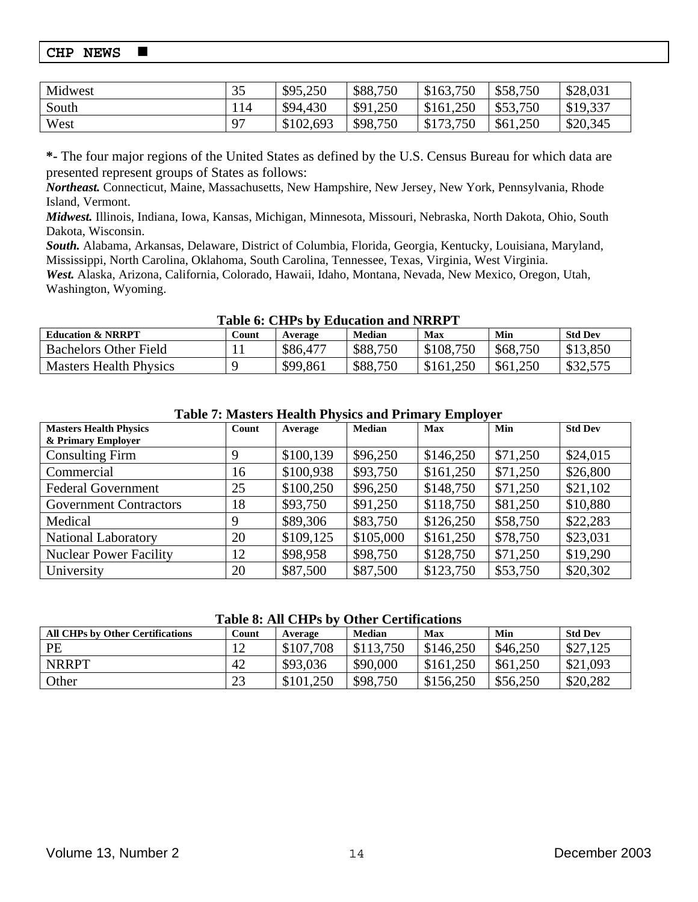| Midwest | 35         | \$95,250  | \$88,750 | \$163,750       | \$58,750 | \$28,031 |
|---------|------------|-----------|----------|-----------------|----------|----------|
| South   | 114        | \$94,430  | \$91,250 | \$161,250       | \$53,750 | \$19,337 |
| West    | $\cdot$ 97 | \$102,693 | \$98,750 | .750<br>\$173.7 | \$61,250 | \$20,345 |

**\*-** The four major regions of the United States as defined by the U.S. Census Bureau for which data are presented represent groups of States as follows:

*Northeast.* Connecticut, Maine, Massachusetts, New Hampshire, New Jersey, New York, Pennsylvania, Rhode Island, Vermont.

*Midwest.* Illinois, Indiana, Iowa, Kansas, Michigan, Minnesota, Missouri, Nebraska, North Dakota, Ohio, South Dakota, Wisconsin.

*South.* Alabama, Arkansas, Delaware, District of Columbia, Florida, Georgia, Kentucky, Louisiana, Maryland, Mississippi, North Carolina, Oklahoma, South Carolina, Tennessee, Texas, Virginia, West Virginia.

*West.* Alaska, Arizona, California, Colorado, Hawaii, Idaho, Montana, Nevada, New Mexico, Oregon, Utah, Washington, Wyoming.

#### **Table 6: CHPs by Education and NRRPT**

| ****** ** **** * * *          |                           |          |          |           |          |                |  |  |
|-------------------------------|---------------------------|----------|----------|-----------|----------|----------------|--|--|
| <b>Education &amp; NRRPT</b>  | $\mathop{\mathrm{Count}}$ | Average  | Median   | Max       | Min      | <b>Std Dev</b> |  |  |
| <b>Bachelors Other Field</b>  |                           | \$86,477 | \$88,750 | \$108,750 | \$68,750 | \$13,850       |  |  |
| <b>Masters Health Physics</b> |                           | \$99,861 | \$88,750 | \$161,250 | \$61,250 | \$32,575       |  |  |
|                               |                           |          |          |           |          |                |  |  |

| <b>Masters Health Physics</b><br>& Primary Employer | Count | Average   | <b>Median</b> | <b>Max</b> | Min      | <b>Std Dev</b> |
|-----------------------------------------------------|-------|-----------|---------------|------------|----------|----------------|
| <b>Consulting Firm</b>                              | 9     | \$100,139 | \$96,250      | \$146,250  | \$71,250 | \$24,015       |
| Commercial                                          | 16    | \$100,938 | \$93,750      | \$161,250  | \$71,250 | \$26,800       |
| <b>Federal Government</b>                           | 25    | \$100,250 | \$96,250      | \$148,750  | \$71,250 | \$21,102       |
| <b>Government Contractors</b>                       | 18    | \$93,750  | \$91,250      | \$118,750  | \$81,250 | \$10,880       |
| Medical                                             | 9     | \$89,306  | \$83,750      | \$126,250  | \$58,750 | \$22,283       |
| <b>National Laboratory</b>                          | 20    | \$109,125 | \$105,000     | \$161,250  | \$78,750 | \$23,031       |
| <b>Nuclear Power Facility</b>                       | 12    | \$98,958  | \$98,750      | \$128,750  | \$71,250 | \$19,290       |
| University                                          | 20    | \$87,500  | \$87,500      | \$123,750  | \$53,750 | \$20,302       |

### **Table 7: Masters Health Physics and Primary Employer**

#### **Table 8: All CHPs by Other Certifications**

| ****** ****** **** * *<br><u>o mor ovi milolohu</u> |                |           |               |           |          |                |  |  |
|-----------------------------------------------------|----------------|-----------|---------------|-----------|----------|----------------|--|--|
| <b>All CHPs by Other Certifications</b>             | Count          | Average   | <b>Median</b> | Max       | Min      | <b>Std Dev</b> |  |  |
| PE                                                  | $\overline{1}$ | \$107,708 | \$113,750     | \$146,250 | \$46,250 | \$27,125       |  |  |
| <b>NRRPT</b>                                        | 42             | \$93,036  | \$90,000      | \$161,250 | \$61,250 | \$21,093       |  |  |
| Other                                               | 23             | \$101,250 | \$98,750      | \$156,250 | \$56,250 | \$20,282       |  |  |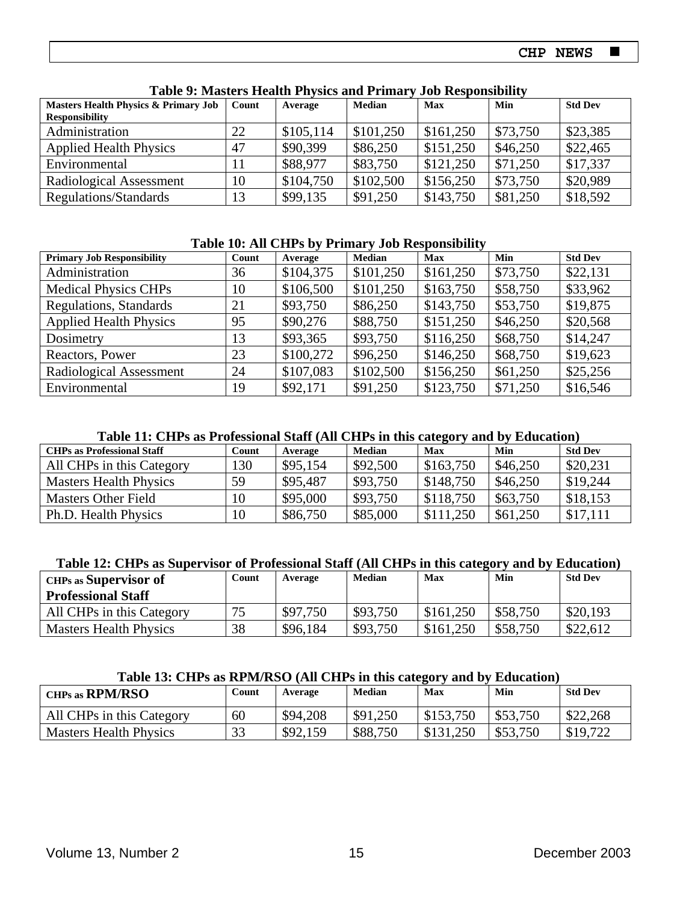| <b>Masters Health Physics &amp; Primary Job</b> | Count | Average   | Median    | Max       | Min      | <b>Std Dev</b> |
|-------------------------------------------------|-------|-----------|-----------|-----------|----------|----------------|
| <b>Responsibility</b>                           |       |           |           |           |          |                |
| Administration                                  | 22    | \$105,114 | \$101,250 | \$161,250 | \$73,750 | \$23,385       |
| <b>Applied Health Physics</b>                   | 47    | \$90,399  | \$86,250  | \$151,250 | \$46,250 | \$22,465       |
| Environmental                                   | 11    | \$88,977  | \$83,750  | \$121,250 | \$71,250 | \$17,337       |
| Radiological Assessment                         | 10    | \$104,750 | \$102,500 | \$156,250 | \$73,750 | \$20,989       |
| Regulations/Standards                           | 13    | \$99,135  | \$91,250  | \$143,750 | \$81,250 | \$18,592       |

#### **Table 9: Masters Health Physics and Primary Job Responsibility**

### **Table 10: All CHPs by Primary Job Responsibility**

| <b>Primary Job Responsibility</b> | Count | Average   | <b>Median</b> | <b>Max</b> | Min      | <b>Std Dev</b> |
|-----------------------------------|-------|-----------|---------------|------------|----------|----------------|
| Administration                    | 36    | \$104,375 | \$101,250     | \$161,250  | \$73,750 | \$22,131       |
| <b>Medical Physics CHPs</b>       | 10    | \$106,500 | \$101,250     | \$163,750  | \$58,750 | \$33,962       |
| Regulations, Standards            | 21    | \$93,750  | \$86,250      | \$143,750  | \$53,750 | \$19,875       |
| <b>Applied Health Physics</b>     | 95    | \$90,276  | \$88,750      | \$151,250  | \$46,250 | \$20,568       |
| Dosimetry                         | 13    | \$93,365  | \$93,750      | \$116,250  | \$68,750 | \$14,247       |
| Reactors, Power                   | 23    | \$100,272 | \$96,250      | \$146,250  | \$68,750 | \$19,623       |
| Radiological Assessment           | 24    | \$107,083 | \$102,500     | \$156,250  | \$61,250 | \$25,256       |
| Environmental                     | 19    | \$92,171  | \$91,250      | \$123,750  | \$71,250 | \$16,546       |

#### **Table 11: CHPs as Professional Staff (All CHPs in this category and by Education)**

| <b>CHPs as Professional Staff</b> | Count | Average  | Median   | Max       | Min      | <b>Std Dev</b> |
|-----------------------------------|-------|----------|----------|-----------|----------|----------------|
| All CHPs in this Category         | 130   | \$95,154 | \$92,500 | \$163,750 | \$46,250 | \$20,231       |
| <b>Masters Health Physics</b>     | 59    | \$95,487 | \$93,750 | \$148,750 | \$46,250 | \$19,244       |
| <b>Masters Other Field</b>        | 10    | \$95,000 | \$93,750 | \$118,750 | \$63,750 | \$18,153       |
| Ph.D. Health Physics              | 10    | \$86,750 | \$85,000 | \$111,250 | \$61,250 | \$17,111       |

#### **Table 12: CHPs as Supervisor of Professional Staff (All CHPs in this category and by Education)**

| <b>CHPs as Supervisor of</b>  | Count | Average  | <b>Median</b> | <b>Max</b> | Min      | <b>Std Dev</b> |
|-------------------------------|-------|----------|---------------|------------|----------|----------------|
| <b>Professional Staff</b>     |       |          |               |            |          |                |
| All CHPs in this Category     |       | \$97,750 | \$93,750      | \$161,250  | \$58,750 | \$20,193       |
| <b>Masters Health Physics</b> | 38    | \$96,184 | \$93,750      | \$161,250  | \$58,750 | \$22,612       |

#### **Table 13: CHPs as RPM/RSO (All CHPs in this category and by Education)**

| CHPs as RPM/RSO               | Count | Average  | Median   | <b>Max</b> | Min      | <b>Std Dev</b> |
|-------------------------------|-------|----------|----------|------------|----------|----------------|
| All CHPs in this Category     | 60    | \$94,208 | \$91,250 | \$153,750  | \$53,750 | \$22,268       |
| <b>Masters Health Physics</b> | 33    | \$92,159 | \$88,750 | \$131,250  | \$53,750 | \$19,722       |